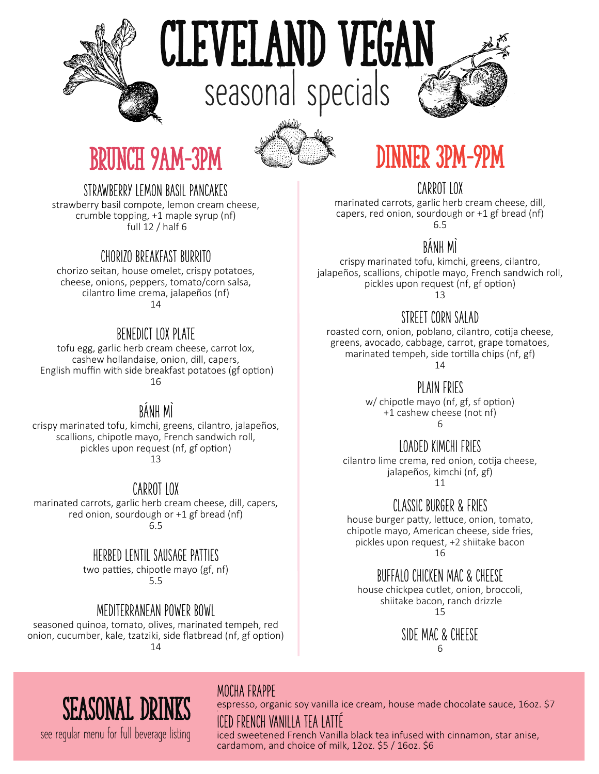

# cleveland vegan **seasonal specials**



### brunch 9am-3pm



### dinner 3pm-9pm

#### STRAWBERRY LEMON BASIL PANCAKES

strawberry basil compote, lemon cream cheese, crumble topping, +1 maple syrup (nf)  $full$  12 / half 6

#### CHORIZO BREAKFAST BURRITO

chorizo seitan, house omelet, crispy potatoes, cheese, onions, peppers, tomato/corn salsa, cilantro lime crema, jalapeños (nf) 14

#### BENEDICT LOX PLATE

tofu egg, garlic herb cream cheese, carrot lox, cashew hollandaise, onion, dill, capers, English muffin with side breakfast potatoes (gf option) 16

#### **BANH MI**

crispy marinated tofu, kimchi, greens, cilantro, jalapeños, scallions, chipotle mayo, French sandwich roll, pickles upon request (nf, gf option) 13

#### CARROT LOX

marinated carrots, garlic herb cream cheese, dill, capers, red onion, sourdough or +1 gf bread (nf) 6.5

#### HERBED LENTIL SAUSAGE PATTIES

two patties, chipotle mayo (gf, nf) 5.5

#### MEDITERRANEAN POWER BOWL

seasoned quinoa, tomato, olives, marinated tempeh, red onion, cucumber, kale, tzatziki, side flatbread (nf, gf option) 14

CARROT LOX

marinated carrots, garlic herb cream cheese, dill, capers, red onion, sourdough or +1 gf bread (nf) 6.5

#### BÁNH MÍ

crispy marinated tofu, kimchi, greens, cilantro, jalapeños, scallions, chipotle mayo, French sandwich roll, pickles upon request (nf, gf option) 13

#### STRFFT CORN SALAD

roasted corn, onion, poblano, cilantro, cotija cheese, greens, avocado, cabbage, carrot, grape tomatoes, marinated tempeh, side tortilla chips (nf, gf) 14

PLAIN FRIES

w/ chipotle mayo (nf, gf, sf option) +1 cashew cheese (not nf) 6

#### LOADED KIMCHI FRIES

cilantro lime crema, red onion, cotija cheese, jalapeños, kimchi (nf, gf)

11

#### CLASSIC BURGER & FRIES

house burger patty, lettuce, onion, tomato, chipotle mayo, American cheese, side fries, pickles upon request, +2 shiitake bacon 16

#### BUFFALO CHICKEN MAC & CHEESE

house chickpea cutlet, onion, broccoli, shiitake bacon, ranch drizzle 15

> SIDE MAC & CHEESE 6

### seasonal drinks

**see regular menu for full beverage listing**

#### MOCHA FRAPPE

espresso, organic soy vanilla ice cream, house made chocolate sauce, 16oz. \$7

ICED FRENCH VANILLA TEA LATTE

iced sweetened French Vanilla black tea infused with cinnamon, star anise, cardamom, and choice of milk, 12oz. \$5 / 16oz. \$6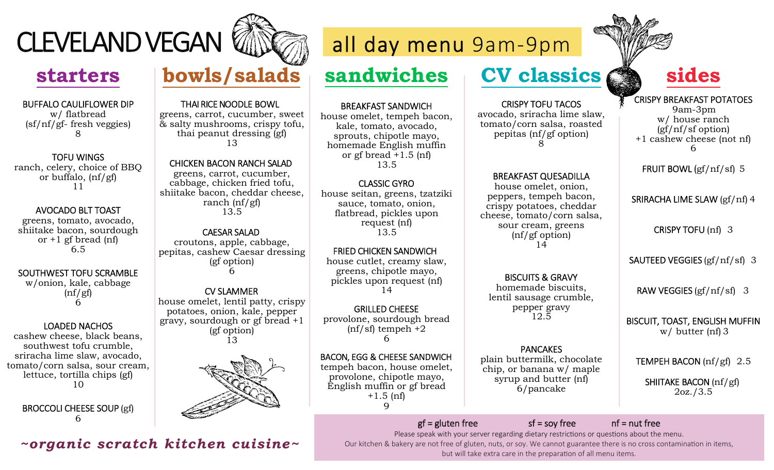

### **starters**

#### BUFFALO CAULIFLOWER DIPw/ flatbread (sf/nf/gf- fresh veggies) 8

TOFU WINGS ranch, celery, choice of BBQ or buffalo, (nf/gf)11

#### AVOCADO BLT TOAST

greens, tomato, avocado, shiitake bacon, sourdough or  $+1$  gf bread (nf) 6.5

#### SOUTHWEST TOFU SCRAMBLE

w/onion, kale, cabbage  $(nf/gf)$ 6

#### LOADED NACHOS

 cashew cheese, black beans, southwest tofu crumble, sriracha lime slaw, avocado, tomato/corn salsa, sour cream, lettuce, tortilla chips (gf) 10

BROCCOLI CHEESE SOUP (gf) 6

## **bowls/salads**

#### THAI RICE NOODLE BOWL

 greens, carrot, cucumber, sweet & salty mushrooms, crispy tofu, thai peanut dressing (gf) 13

#### CHICKEN BACON RANCH SALAD

 greens, carrot, cucumber, cabbage, chicken fried tofu, shiitake bacon, cheddar cheese, ranch (nf/gf) 13.5

#### CAESAR SALAD

croutons, apple, cabbage, pepitas, cashew Caesar dressing(gf option) 6

#### CV SLAMMER

house omelet, lentil patty, crispy potatoes, onion, kale, pepper gravy, sourdough or gf bread +1 (gf option) 13



### *~organic scratch kitchen cuisine~*



### **sandwiches**

BREAKFAST SANDWICH

 house omelet, tempeh bacon, kale, tomato, avocado, sprouts, chipotle mayo, homemade English muffin or gf bread  $+1.5$  (nf) 13.5

#### CLASSIC GYRO

 house seitan, greens, tzatziki sauce, tomato, onion, flatbread, pickles upon request (nf) 13.5

FRIED CHICKEN SANDWICH house cutlet, creamy slaw, greens, chipotle mayo, pickles upon request (nf) 14

GRILLED CHEESE provolone, sourdough bread  $(nf/sf)$  tempeh  $+2$ 6

 $\mathbf Q$ BACON, EGG & CHEESE SANDWICH tempeh bacon, house omelet, provolone, chipotle mayo, English muffin or gf bread  $+1.5$  (nf)

### **CV classics**

#### CRISPY TOFU TACOSavocado, sriracha lime slaw,

tomato/corn salsa, roasted pepitas (nf/gf option) 8

#### BREAKFAST QUESADILLA

house omelet, onion, peppers, tempeh bacon, crispy potatoes, cheddar cheese, tomato/corn salsa, sour cream, greens (nf/gf option) 14

BISCUITS & GRAVY homemade biscuits, lentil sausage crumble, pepper gravy 12.5

#### PANCAKES

plain buttermilk, chocolate chip, or banana w/ maple syrup and butter (nf) 6/pancake



### **sides**

CRISPY BREAKFAST POTATOES 9am-3pm w/ house ranch (gf/nf/sf option) +1 cashew cheese (not nf)6

FRUIT BOWL  $\frac{gf}{nf/sf}$  5

SRIRACHA LIME SLAW (gf/nf) 4

CRISPY TOFU (nf) 3

SAUTEED VEGGIES (gf/nf/sf) 3

RAW VEGGIES (gf/nf/sf) 3

BISCUIT, TOAST, ENGLISH MUFFIN w/ butter (nf) 3

TEMPEH BACON (nf/gf) 2.5

SHIITAKE BACON (nf/gf) 2oz./3.5

 $gf = gluten free$  sf = soy free nf = nut free Please speak with your server regarding dietary restrictions or questions about the menu. Our kitchen & bakery are not free of gluten, nuts, or soy. We cannot guarantee there is no cross contamination in items, but will take extra care in the preparation of all menu items.